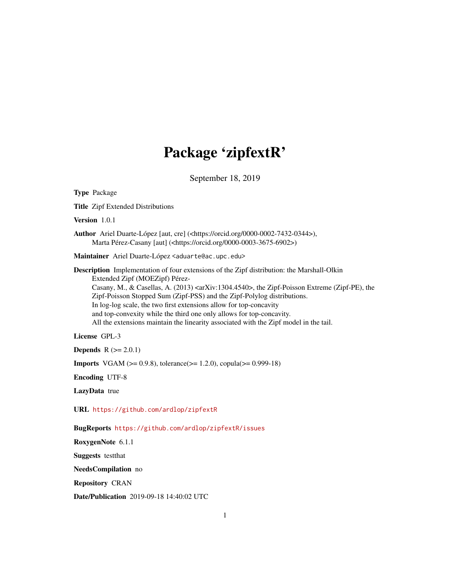# Package 'zipfextR'

September 18, 2019

<span id="page-0-0"></span>Type Package Title Zipf Extended Distributions Version 1.0.1 Author Ariel Duarte-López [aut, cre] (<https://orcid.org/0000-0002-7432-0344>), Marta Pérez-Casany [aut] (<https://orcid.org/0000-0003-3675-6902>) Maintainer Ariel Duarte-López <aduarte@ac.upc.edu> Description Implementation of four extensions of the Zipf distribution: the Marshall-Olkin Extended Zipf (MOEZipf) Pérez-Casany, M., & Casellas, A. (2013) <arXiv:1304.4540>, the Zipf-Poisson Extreme (Zipf-PE), the Zipf-Poisson Stopped Sum (Zipf-PSS) and the Zipf-Polylog distributions. In log-log scale, the two first extensions allow for top-concavity and top-convexity while the third one only allows for top-concavity. All the extensions maintain the linearity associated with the Zipf model in the tail. License GPL-3 **Depends**  $R (= 2.0.1)$ **Imports** VGAM ( $>= 0.9.8$ ), tolerance( $>= 1.2.0$ ), copula( $>= 0.999-18$ ) Encoding UTF-8 LazyData true URL <https://github.com/ardlop/zipfextR> BugReports <https://github.com/ardlop/zipfextR/issues> RoxygenNote 6.1.1 Suggests testthat NeedsCompilation no Repository CRAN Date/Publication 2019-09-18 14:40:02 UTC

1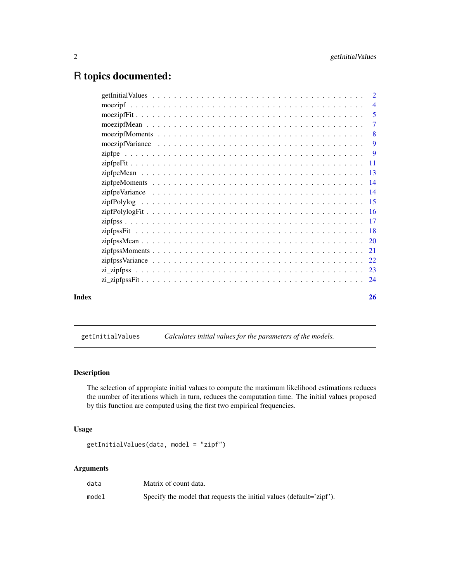## <span id="page-1-0"></span>R topics documented:

| Index | 26                        |
|-------|---------------------------|
|       |                           |
|       |                           |
|       |                           |
|       |                           |
|       |                           |
|       |                           |
|       |                           |
|       |                           |
|       |                           |
|       |                           |
|       |                           |
|       |                           |
|       |                           |
|       |                           |
|       | -9                        |
|       | $\overline{\phantom{0}}8$ |
|       | $\overline{7}$            |
|       | -5                        |
|       | $\overline{4}$            |
|       |                           |

<span id="page-1-1"></span>getInitialValues *Calculates initial values for the parameters of the models.*

## Description

The selection of appropiate initial values to compute the maximum likelihood estimations reduces the number of iterations which in turn, reduces the computation time. The initial values proposed by this function are computed using the first two empirical frequencies.

## Usage

```
getInitialValues(data, model = "zipf")
```
## Arguments

| data  | Matrix of count data.                                                |
|-------|----------------------------------------------------------------------|
| model | Specify the model that requests the initial values (default='zipf'). |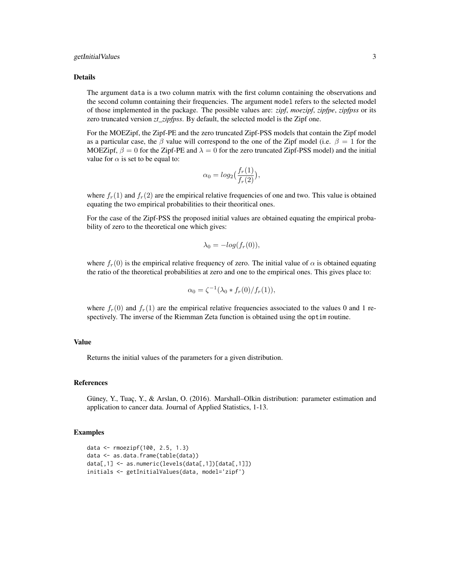#### getInitialValues 3

#### Details

The argument data is a two column matrix with the first column containing the observations and the second column containing their frequencies. The argument model refers to the selected model of those implemented in the package. The possible values are: *zipf*, *moezipf*, *zipfpe*, *zipfpss* or its zero truncated version *zt\_zipfpss*. By default, the selected model is the Zipf one.

For the MOEZipf, the Zipf-PE and the zero truncated Zipf-PSS models that contain the Zipf model as a particular case, the  $\beta$  value will correspond to the one of the Zipf model (i.e.  $\beta = 1$  for the MOEZipf,  $\beta = 0$  for the Zipf-PE and  $\lambda = 0$  for the zero truncated Zipf-PSS model) and the initial value for  $\alpha$  is set to be equal to:

$$
\alpha_0 = \log_2\left(\frac{f_r(1)}{f_r(2)}\right),
$$

where  $f_r(1)$  and  $f_r(2)$  are the empirical relative frequencies of one and two. This value is obtained equating the two empirical probabilities to their theoritical ones.

For the case of the Zipf-PSS the proposed initial values are obtained equating the empirical probability of zero to the theoretical one which gives:

$$
\lambda_0 = -\log(f_r(0)),
$$

where  $f_r(0)$  is the empirical relative frequency of zero. The initial value of  $\alpha$  is obtained equating the ratio of the theoretical probabilities at zero and one to the empirical ones. This gives place to:

$$
\alpha_0 = \zeta^{-1} (\lambda_0 * f_r(0) / f_r(1)),
$$

where  $f_r(0)$  and  $f_r(1)$  are the empirical relative frequencies associated to the values 0 and 1 respectively. The inverse of the Riemman Zeta function is obtained using the optim routine.

### Value

Returns the initial values of the parameters for a given distribution.

#### References

Güney, Y., Tuaç, Y., & Arslan, O. (2016). Marshall–Olkin distribution: parameter estimation and application to cancer data. Journal of Applied Statistics, 1-13.

#### Examples

```
data <- rmoezipf(100, 2.5, 1.3)
data <- as.data.frame(table(data))
data[,1] <- as.numeric(levels(data[,1])[data[,1]])
initials <- getInitialValues(data, model='zipf')
```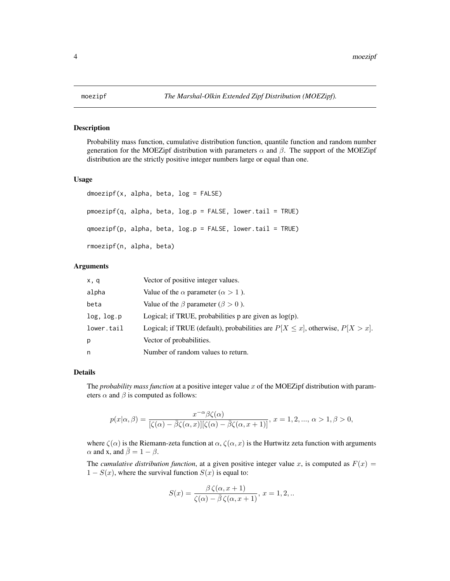<span id="page-3-0"></span>

#### Description

Probability mass function, cumulative distribution function, quantile function and random number generation for the MOEZipf distribution with parameters  $\alpha$  and  $\beta$ . The support of the MOEZipf distribution are the strictly positive integer numbers large or equal than one.

#### Usage

```
dmoezipf(x, alpha, beta, log = FALSE)
pmoezipf(q, alpha, beta, log.p = FALSE, lower.tail = TRUE)
qmoezipf(p, alpha, beta, log.p = FALSE, lower.tail = TRUE)
rmoezipf(n, alpha, beta)
```
## Arguments

| x, q       | Vector of positive integer values.                                                   |
|------------|--------------------------------------------------------------------------------------|
| alpha      | Value of the $\alpha$ parameter ( $\alpha > 1$ ).                                    |
| beta       | Value of the $\beta$ parameter ( $\beta > 0$ ).                                      |
| log, log.p | Logical; if TRUE, probabilities $p$ are given as $log(p)$ .                          |
| lower.tail | Logical; if TRUE (default), probabilities are $P[X \le x]$ , otherwise, $P[X > x]$ . |
| p          | Vector of probabilities.                                                             |
| n          | Number of random values to return.                                                   |

## Details

The *probability mass function* at a positive integer value x of the MOEZipf distribution with parameters  $\alpha$  and  $\beta$  is computed as follows:

$$
p(x|\alpha,\beta) = \frac{x^{-\alpha}\beta\zeta(\alpha)}{[\zeta(\alpha) - \bar{\beta}\zeta(\alpha,x)][\zeta(\alpha) - \bar{\beta}\zeta(\alpha,x+1)]}, x = 1, 2, ..., \alpha > 1, \beta > 0,
$$

where  $\zeta(\alpha)$  is the Riemann-zeta function at  $\alpha$ ,  $\zeta(\alpha, x)$  is the Hurtwitz zeta function with arguments  $\alpha$  and x, and  $\overline{\beta} = 1 - \beta$ .

The *cumulative distribution function*, at a given positive integer value x, is computed as  $F(x) =$  $1 - S(x)$ , where the survival function  $S(x)$  is equal to:

$$
S(x) = \frac{\beta \zeta(\alpha, x+1)}{\zeta(\alpha) - \overline{\beta} \zeta(\alpha, x+1)}, x = 1, 2, ...
$$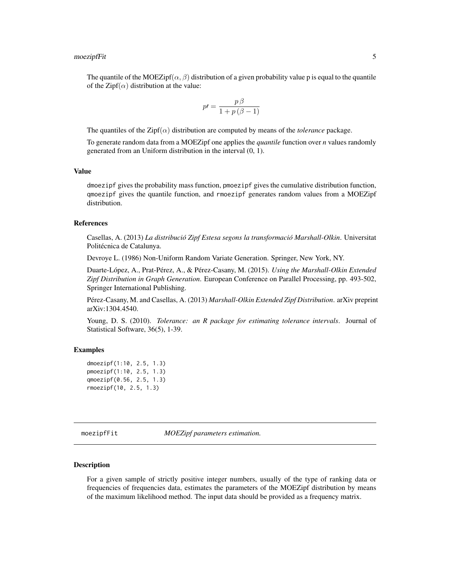#### <span id="page-4-0"></span>moezipfFit 5

The quantile of the MOEZipf( $\alpha$ ,  $\beta$ ) distribution of a given probability value p is equal to the quantile of the Zipf( $\alpha$ ) distribution at the value:

$$
p\prime = \frac{p\beta}{1 + p\left(\beta - 1\right)}
$$

The quantiles of the  $\text{Zipf}(\alpha)$  distribution are computed by means of the *tolerance* package.

To generate random data from a MOEZipf one applies the *quantile* function over *n* values randomly generated from an Uniform distribution in the interval (0, 1).

## Value

dmoezipf gives the probability mass function, pmoezipf gives the cumulative distribution function, qmoezipf gives the quantile function, and rmoezipf generates random values from a MOEZipf distribution.

#### References

Casellas, A. (2013) *La distribució Zipf Estesa segons la transformació Marshall-Olkin*. Universitat Politécnica de Catalunya.

Devroye L. (1986) Non-Uniform Random Variate Generation. Springer, New York, NY.

Duarte-López, A., Prat-Pérez, A., & Pérez-Casany, M. (2015). *Using the Marshall-Olkin Extended Zipf Distribution in Graph Generation*. European Conference on Parallel Processing, pp. 493-502, Springer International Publishing.

Pérez-Casany, M. and Casellas, A. (2013) *Marshall-Olkin Extended Zipf Distribution*. arXiv preprint arXiv:1304.4540.

Young, D. S. (2010). *Tolerance: an R package for estimating tolerance intervals*. Journal of Statistical Software, 36(5), 1-39.

## Examples

```
dmoezipf(1:10, 2.5, 1.3)
pmoezipf(1:10, 2.5, 1.3)
qmoezipf(0.56, 2.5, 1.3)
rmoezipf(10, 2.5, 1.3)
```
moezipfFit *MOEZipf parameters estimation.*

#### Description

For a given sample of strictly positive integer numbers, usually of the type of ranking data or frequencies of frequencies data, estimates the parameters of the MOEZipf distribution by means of the maximum likelihood method. The input data should be provided as a frequency matrix.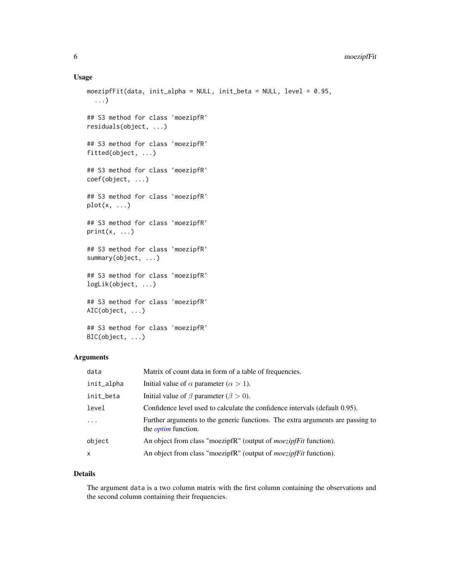## <span id="page-5-0"></span>Usage

```
moezipfFit(data, init_alpha = NULL, init_beta = NULL, level = 0.95,
  ...)
## S3 method for class 'moezipfR'
residuals(object, ...)
## S3 method for class 'moezipfR'
fitted(object, ...)
## S3 method for class 'moezipfR'
coef(object, ...)
## S3 method for class 'moezipfR'
plot(x, \ldots)## S3 method for class 'moezipfR'
print(x, \ldots)## S3 method for class 'moezipfR'
summary(object, ...)
## S3 method for class 'moezipfR'
logLik(object, ...)
## S3 method for class 'moezipfR'
AIC(object, ...)
## S3 method for class 'moezipfR'
BIC(object, ...)
```
## Arguments

| data       | Matrix of count data in form of a table of frequencies.                                                      |
|------------|--------------------------------------------------------------------------------------------------------------|
| init_alpha | Initial value of $\alpha$ parameter ( $\alpha > 1$ ).                                                        |
| init_beta  | Initial value of $\beta$ parameter ( $\beta > 0$ ).                                                          |
| level      | Confidence level used to calculate the confidence intervals (default 0.95).                                  |
| $\ddots$   | Further arguments to the generic functions. The extra arguments are passing to<br>the <i>optim</i> function. |
| object     | An object from class "moezipfR" (output of <i>moezipfFit</i> function).                                      |
| x          | An object from class "moezipfR" (output of <i>moezipfFit</i> function).                                      |

## Details

The argument data is a two column matrix with the first column containing the observations and the second column containing their frequencies.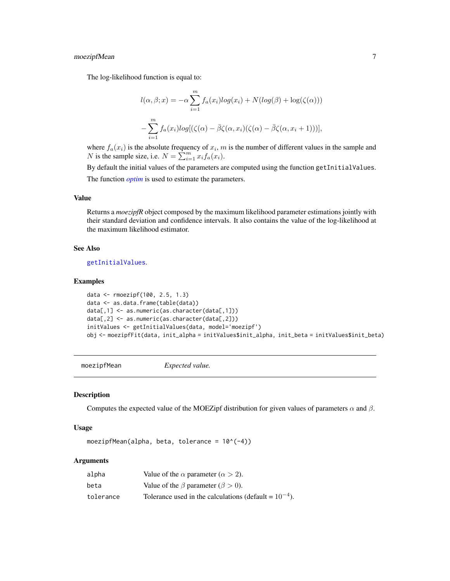## <span id="page-6-0"></span>moezipfMean 7

The log-likelihood function is equal to:

$$
l(\alpha, \beta; x) = -\alpha \sum_{i=1}^{m} f_a(x_i) log(x_i) + N(log(\beta) + log(\zeta(\alpha)))
$$

$$
-\sum_{i=1}^{m} f_a(x_i) log[(\zeta(\alpha) - \overline{\beta}\zeta(\alpha, x_i)(\zeta(\alpha) - \overline{\beta}\zeta(\alpha, x_i + 1)))],
$$

where  $f_a(x_i)$  is the absolute frequency of  $x_i$ , m is the number of different values in the sample and N is the sample size, i.e.  $N = \sum_{i=1}^{m} x_i f_a(x_i)$ .

By default the initial values of the parameters are computed using the function getInitialValues. The function *[optim](#page-0-0)* is used to estimate the parameters.

## Value

Returns a *moezipfR* object composed by the maximum likelihood parameter estimations jointly with their standard deviation and confidence intervals. It also contains the value of the log-likelihood at the maximum likelihood estimator.

#### See Also

[getInitialValues](#page-1-1).

#### Examples

```
data <- rmoezipf(100, 2.5, 1.3)
data <- as.data.frame(table(data))
data[,1] <- as.numeric(as.character(data[,1]))
data[,2] <- as.numeric(as.character(data[,2]))
initValues <- getInitialValues(data, model='moezipf')
obj <- moezipfFit(data, init_alpha = initValues$init_alpha, init_beta = initValues$init_beta)
```
<span id="page-6-1"></span>moezipfMean *Expected value.*

#### Description

Computes the expected value of the MOEZipf distribution for given values of parameters  $\alpha$  and  $\beta$ .

#### Usage

moezipfMean(alpha, beta, tolerance = 10^(-4))

#### Arguments

| alpha     | Value of the $\alpha$ parameter ( $\alpha > 2$ ).          |
|-----------|------------------------------------------------------------|
| beta      | Value of the $\beta$ parameter ( $\beta > 0$ ).            |
| tolerance | Tolerance used in the calculations (default = $10^{-4}$ ). |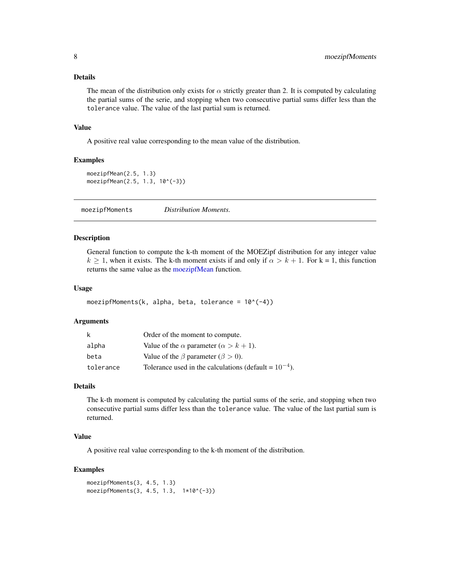## <span id="page-7-0"></span>Details

The mean of the distribution only exists for  $\alpha$  strictly greater than 2. It is computed by calculating the partial sums of the serie, and stopping when two consecutive partial sums differ less than the tolerance value. The value of the last partial sum is returned.

#### Value

A positive real value corresponding to the mean value of the distribution.

## Examples

```
moezipfMean(2.5, 1.3)
moezipfMean(2.5, 1.3, 10^(-3))
```
<span id="page-7-1"></span>moezipfMoments *Distribution Moments.*

## Description

General function to compute the k-th moment of the MOEZipf distribution for any integer value  $k \ge 1$ , when it exists. The k-th moment exists if and only if  $\alpha > k + 1$ . For k = 1, this function returns the same value as the [moezipfMean](#page-6-1) function.

#### Usage

```
moezipfMoments(k, alpha, beta, tolerance = 10^{-(-4)})
```
#### Arguments

| k         | Order of the moment to compute.                            |
|-----------|------------------------------------------------------------|
| alpha     | Value of the $\alpha$ parameter ( $\alpha > k + 1$ ).      |
| beta      | Value of the $\beta$ parameter ( $\beta > 0$ ).            |
| tolerance | Tolerance used in the calculations (default = $10^{-4}$ ). |

## Details

The k-th moment is computed by calculating the partial sums of the serie, and stopping when two consecutive partial sums differ less than the tolerance value. The value of the last partial sum is returned.

## Value

A positive real value corresponding to the k-th moment of the distribution.

#### Examples

```
moezipfMoments(3, 4.5, 1.3)
moezipfMoments(3, 4.5, 1.3, 1*10^(-3))
```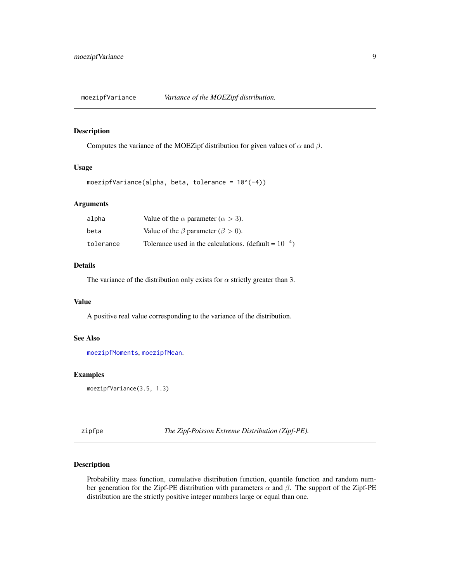<span id="page-8-0"></span>

#### Description

Computes the variance of the MOEZipf distribution for given values of  $\alpha$  and  $\beta$ .

## Usage

moezipfVariance(alpha, beta, tolerance =  $10^*(-4)$ )

## Arguments

| alpha     | Value of the $\alpha$ parameter ( $\alpha > 3$ ).          |
|-----------|------------------------------------------------------------|
| beta      | Value of the $\beta$ parameter ( $\beta > 0$ ).            |
| tolerance | Tolerance used in the calculations. (default = $10^{-4}$ ) |

## Details

The variance of the distribution only exists for  $\alpha$  strictly greater than 3.

#### Value

A positive real value corresponding to the variance of the distribution.

## See Also

[moezipfMoments](#page-7-1), [moezipfMean](#page-6-1).

## Examples

moezipfVariance(3.5, 1.3)

zipfpe *The Zipf-Poisson Extreme Distribution (Zipf-PE).*

## Description

Probability mass function, cumulative distribution function, quantile function and random number generation for the Zipf-PE distribution with parameters  $\alpha$  and  $\beta$ . The support of the Zipf-PE distribution are the strictly positive integer numbers large or equal than one.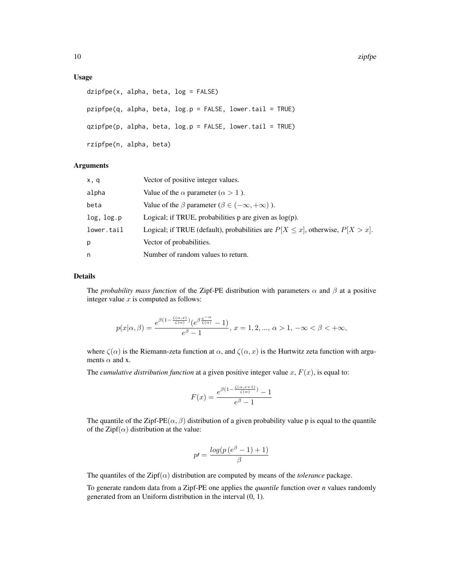#### Usage

```
dzipfpe(x, alpha, beta, log = FALSE)
pzipfpe(q, alpha, beta, log.p = FALSE, lower.tail = TRUE)
qzipfpe(p, alpha, beta, log.p = FALSE, lowertail = TRUE)rzipfpe(n, alpha, beta)
```
## Arguments

| x, q       | Vector of positive integer values.                                                   |
|------------|--------------------------------------------------------------------------------------|
| alpha      | Value of the $\alpha$ parameter ( $\alpha > 1$ ).                                    |
| beta       | Value of the $\beta$ parameter ( $\beta \in (-\infty, +\infty)$ ).                   |
| log, log.p | Logical; if TRUE, probabilities $p$ are given as $log(p)$ .                          |
| lower.tail | Logical; if TRUE (default), probabilities are $P[X \le x]$ , otherwise, $P[X > x]$ . |
| р          | Vector of probabilities.                                                             |
| n          | Number of random values to return.                                                   |

## Details

The *probability mass function* of the Zipf-PE distribution with parameters  $\alpha$  and  $\beta$  at a positive integer value  $x$  is computed as follows:

$$
p(x|\alpha,\beta) = \frac{e^{\beta(1-\frac{\zeta(\alpha,x)}{\zeta(\alpha)})}(e^{\beta\frac{x^{-\alpha}}{\zeta(\alpha)}}-1)}{e^{\beta}-1}, x = 1, 2, ..., \alpha > 1, -\infty < \beta < +\infty,
$$

where  $\zeta(\alpha)$  is the Riemann-zeta function at  $\alpha$ , and  $\zeta(\alpha, x)$  is the Hurtwitz zeta function with arguments  $\alpha$  and x.

The *cumulative distribution function* at a given positive integer value  $x$ ,  $F(x)$ , is equal to:

$$
F(x) = \frac{e^{\beta(1 - \frac{\zeta(\alpha, x+1)}{\zeta(\alpha)})} - 1}{e^{\beta} - 1}
$$

The quantile of the Zipf-PE( $\alpha$ ,  $\beta$ ) distribution of a given probability value p is equal to the quantile of the Zipf( $\alpha$ ) distribution at the value:

$$
p' = \frac{\log(p\left(e^{\beta} - 1\right) + 1)}{\beta}
$$

The quantiles of the  $\text{Zipf}(\alpha)$  distribution are computed by means of the *tolerance* package.

To generate random data from a Zipf-PE one applies the *quantile* function over *n* values randomly generated from an Uniform distribution in the interval (0, 1).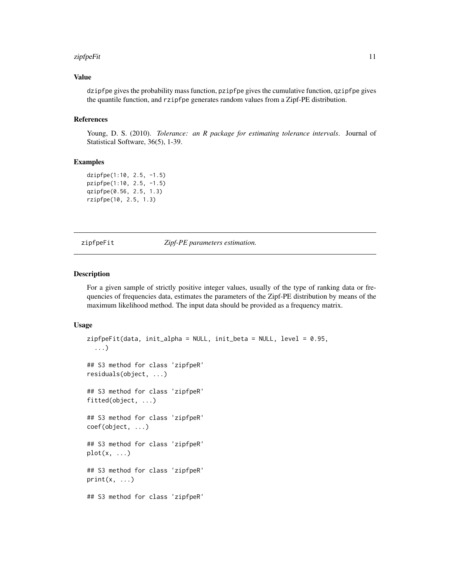#### <span id="page-10-0"></span>zipfpeFit 11

## Value

dzipfpe gives the probability mass function, pzipfpe gives the cumulative function, qzipfpe gives the quantile function, and rzipfpe generates random values from a Zipf-PE distribution.

#### References

Young, D. S. (2010). *Tolerance: an R package for estimating tolerance intervals*. Journal of Statistical Software, 36(5), 1-39.

#### Examples

dzipfpe(1:10, 2.5, -1.5) pzipfpe(1:10, 2.5, -1.5) qzipfpe(0.56, 2.5, 1.3) rzipfpe(10, 2.5, 1.3)

zipfpeFit *Zipf-PE parameters estimation.*

## **Description**

For a given sample of strictly positive integer values, usually of the type of ranking data or frequencies of frequencies data, estimates the parameters of the Zipf-PE distribution by means of the maximum likelihood method. The input data should be provided as a frequency matrix.

```
zipfpeFit(data, init_alpha = NULL, init_beta = NULL, level = 0.95,
  ...)
## S3 method for class 'zipfpeR'
residuals(object, ...)
## S3 method for class 'zipfpeR'
fitted(object, ...)
## S3 method for class 'zipfpeR'
coef(object, ...)
## S3 method for class 'zipfpeR'
plot(x, \ldots)## S3 method for class 'zipfpeR'
print(x, \ldots)## S3 method for class 'zipfpeR'
```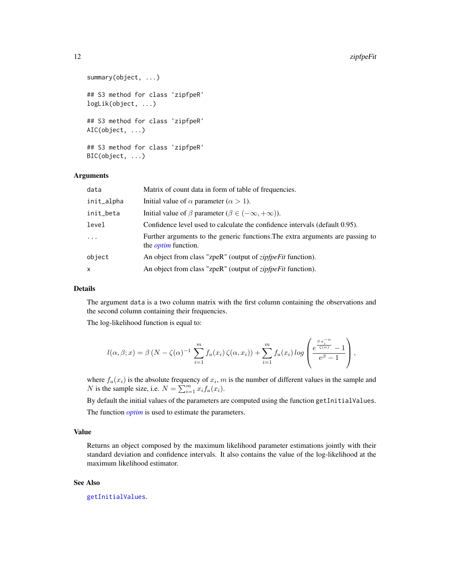#### 12 *ii* zipfpeFit

```
summary(object, ...)
## S3 method for class 'zipfpeR'
logLik(object, ...)
## S3 method for class 'zipfpeR'
AIC(object, ...)
## S3 method for class 'zipfpeR'
BIC(object, ...)
```
## Arguments

| data       | Matrix of count data in form of table of frequencies.                                                        |
|------------|--------------------------------------------------------------------------------------------------------------|
| init_alpha | Initial value of $\alpha$ parameter ( $\alpha > 1$ ).                                                        |
| init_beta  | Initial value of $\beta$ parameter ( $\beta \in (-\infty, +\infty)$ ).                                       |
| level      | Confidence level used to calculate the confidence intervals (default 0.95).                                  |
| $\cdots$   | Further arguments to the generic functions. The extra arguments are passing to<br>the <i>optim</i> function. |
| object     | An object from class "zpeR" (output of <i>zipfpeFit</i> function).                                           |
| x          | An object from class "zpeR" (output of <i>zipfpeFit</i> function).                                           |

#### Details

The argument data is a two column matrix with the first column containing the observations and the second column containing their frequencies.

The log-likelihood function is equal to:

$$
l(\alpha, \beta; x) = \beta (N - \zeta(\alpha)^{-1} \sum_{i=1}^{m} f_a(x_i) \zeta(\alpha, x_i)) + \sum_{i=1}^{m} f_a(x_i) \log \left( \frac{e^{\frac{\beta x_i^{-\alpha}}{\zeta(\alpha)}} - 1}{e^{\beta} - 1} \right),
$$

where  $f_a(x_i)$  is the absolute frequency of  $x_i$ , m is the number of different values in the sample and N is the sample size, i.e.  $N = \sum_{i=1}^{m} x_i f_a(x_i)$ .

By default the initial values of the parameters are computed using the function getInitialValues.

The function *[optim](#page-0-0)* is used to estimate the parameters.

#### Value

Returns an object composed by the maximum likelihood parameter estimations jointly with their standard deviation and confidence intervals. It also contains the value of the log-likelihood at the maximum likelihood estimator.

## See Also

[getInitialValues](#page-1-1).

<span id="page-11-0"></span>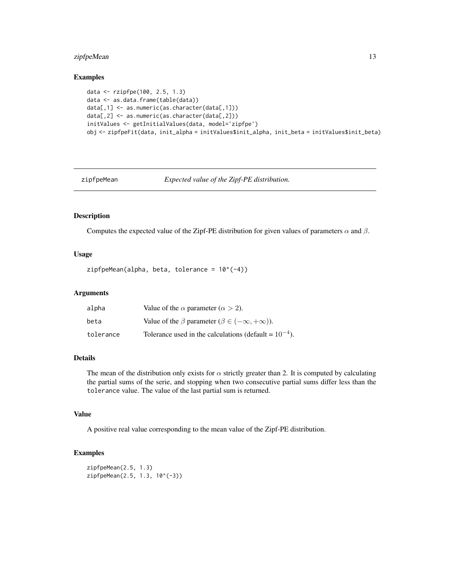## <span id="page-12-0"></span>zipfpeMean 13

#### Examples

```
data <- rzipfpe(100, 2.5, 1.3)
data <- as.data.frame(table(data))
data[,1] <- as.numeric(as.character(data[,1]))
data[,2] <- as.numeric(as.character(data[,2]))
initValues <- getInitialValues(data, model='zipfpe')
obj <- zipfpeFit(data, init_alpha = initValues$init_alpha, init_beta = initValues$init_beta)
```
<span id="page-12-1"></span>

zipfpeMean *Expected value of the Zipf-PE distribution.*

#### Description

Computes the expected value of the Zipf-PE distribution for given values of parameters  $\alpha$  and  $\beta$ .

## Usage

 $zipfpeMean(alpha, beta, tolerance =  $10^(-4)$ )$ 

#### Arguments

| alpha     | Value of the $\alpha$ parameter ( $\alpha > 2$ ).                  |
|-----------|--------------------------------------------------------------------|
| beta      | Value of the $\beta$ parameter ( $\beta \in (-\infty, +\infty)$ ). |
| tolerance | Tolerance used in the calculations (default = $10^{-4}$ ).         |

#### Details

The mean of the distribution only exists for  $\alpha$  strictly greater than 2. It is computed by calculating the partial sums of the serie, and stopping when two consecutive partial sums differ less than the tolerance value. The value of the last partial sum is returned.

## Value

A positive real value corresponding to the mean value of the Zipf-PE distribution.

## Examples

```
zipfpeMean(2.5, 1.3)
zipfpeMean(2.5, 1.3, 10^(-3))
```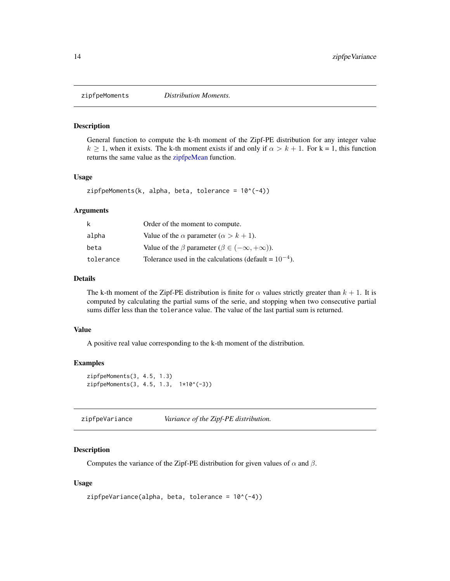<span id="page-13-1"></span><span id="page-13-0"></span>

#### Description

General function to compute the k-th moment of the Zipf-PE distribution for any integer value  $k \ge 1$ , when it exists. The k-th moment exists if and only if  $\alpha > k + 1$ . For k = 1, this function returns the same value as the [zipfpeMean](#page-12-1) function.

#### Usage

 $zipfpeMoments(k, alpha, beta, tolerance =  $10^(-4)$ )$ 

#### Arguments

| k         | Order of the moment to compute.                                    |
|-----------|--------------------------------------------------------------------|
| alpha     | Value of the $\alpha$ parameter ( $\alpha > k + 1$ ).              |
| beta      | Value of the $\beta$ parameter ( $\beta \in (-\infty, +\infty)$ ). |
| tolerance | Tolerance used in the calculations (default = $10^{-4}$ ).         |

## Details

The k-th moment of the Zipf-PE distribution is finite for  $\alpha$  values strictly greater than  $k + 1$ . It is computed by calculating the partial sums of the serie, and stopping when two consecutive partial sums differ less than the tolerance value. The value of the last partial sum is returned.

#### Value

A positive real value corresponding to the k-th moment of the distribution.

## Examples

```
zipfpeMoments(3, 4.5, 1.3)
zipfpeMoments(3, 4.5, 1.3, 1*10^(-3))
```
zipfpeVariance *Variance of the Zipf-PE distribution.*

## Description

Computes the variance of the Zipf-PE distribution for given values of  $\alpha$  and  $\beta$ .

```
zipfpeVariableTiance(alpha, beta, tolerance = 10^(-4))
```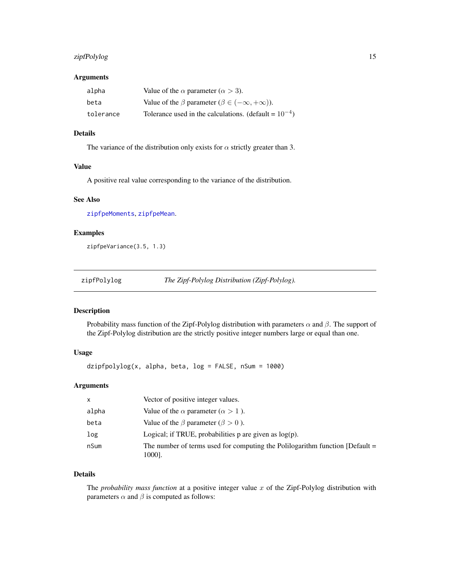## <span id="page-14-0"></span>zipfPolylog 15

#### Arguments

| alpha     | Value of the $\alpha$ parameter ( $\alpha > 3$ ).                 |
|-----------|-------------------------------------------------------------------|
| beta      | Value of the $\beta$ parameter $(\beta \in (-\infty, +\infty))$ . |
| tolerance | Tolerance used in the calculations. (default = $10^{-4}$ )        |

## Details

The variance of the distribution only exists for  $\alpha$  strictly greater than 3.

#### Value

A positive real value corresponding to the variance of the distribution.

## See Also

[zipfpeMoments](#page-13-1), [zipfpeMean](#page-12-1).

## Examples

zipfpeVariance(3.5, 1.3)

zipfPolylog *The Zipf-Polylog Distribution (Zipf-Polylog).*

## Description

Probability mass function of the Zipf-Polylog distribution with parameters  $\alpha$  and  $\beta$ . The support of the Zipf-Polylog distribution are the strictly positive integer numbers large or equal than one.

## Usage

dzipfpolylog(x, alpha, beta, log = FALSE, nSum = 1000)

#### Arguments

| x     | Vector of positive integer values.                                                       |
|-------|------------------------------------------------------------------------------------------|
| alpha | Value of the $\alpha$ parameter ( $\alpha > 1$ ).                                        |
| beta  | Value of the $\beta$ parameter ( $\beta > 0$ ).                                          |
| log   | Logical; if TRUE, probabilities $p$ are given as $log(p)$ .                              |
| nSum  | The number of terms used for computing the Polilogarithm function $[Default =$<br>1000]. |

## Details

The *probability mass function* at a positive integer value x of the Zipf-Polylog distribution with parameters  $\alpha$  and  $\beta$  is computed as follows: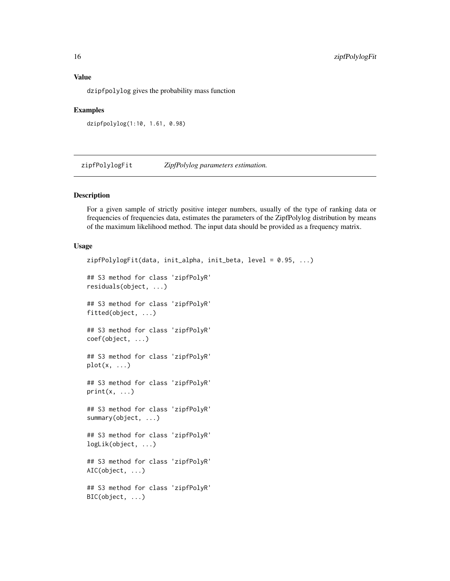dzipfpolylog gives the probability mass function

#### Examples

dzipfpolylog(1:10, 1.61, 0.98)

zipfPolylogFit *ZipfPolylog parameters estimation.*

#### Description

For a given sample of strictly positive integer numbers, usually of the type of ranking data or frequencies of frequencies data, estimates the parameters of the ZipfPolylog distribution by means of the maximum likelihood method. The input data should be provided as a frequency matrix.

```
zipfPolylogFit(data, init_alpha, init_beta, level = 0.95, ...)
## S3 method for class 'zipfPolyR'
residuals(object, ...)
## S3 method for class 'zipfPolyR'
fitted(object, ...)
## S3 method for class 'zipfPolyR'
coef(object, ...)
## S3 method for class 'zipfPolyR'
plot(x, \ldots)## S3 method for class 'zipfPolyR'
print(x, \ldots)## S3 method for class 'zipfPolyR'
summary(object, ...)
## S3 method for class 'zipfPolyR'
logLik(object, ...)
## S3 method for class 'zipfPolyR'
AIC(object, ...)
## S3 method for class 'zipfPolyR'
BIC(object, ...)
```
<span id="page-15-0"></span>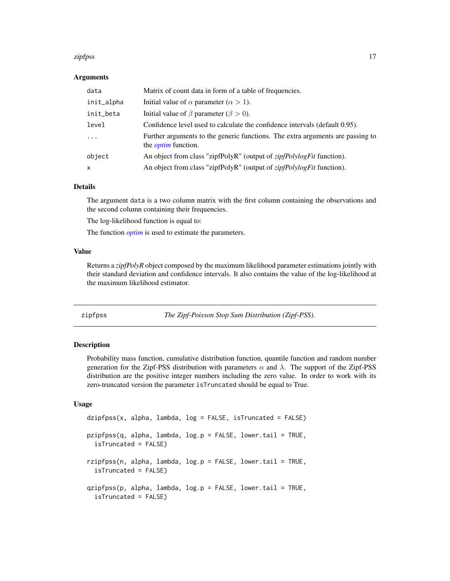#### <span id="page-16-0"></span>zipfpss and the state of the state of the state of the state of the state of the state of the state of the state of the state of the state of the state of the state of the state of the state of the state of the state of th

#### Arguments

| data         | Matrix of count data in form of a table of frequencies.                                                      |
|--------------|--------------------------------------------------------------------------------------------------------------|
| init_alpha   | Initial value of $\alpha$ parameter ( $\alpha > 1$ ).                                                        |
| init_beta    | Initial value of $\beta$ parameter ( $\beta > 0$ ).                                                          |
| level        | Confidence level used to calculate the confidence intervals (default 0.95).                                  |
| .            | Further arguments to the generic functions. The extra arguments are passing to<br>the <i>optim</i> function. |
| object       | An object from class "zipfPolyR" (output of <i>zipfPolylogFit</i> function).                                 |
| $\mathsf{x}$ | An object from class "zipfPolyR" (output of <i>zipfPolylogFit</i> function).                                 |

## Details

The argument data is a two column matrix with the first column containing the observations and the second column containing their frequencies.

The log-likelihood function is equal to:

The function *[optim](#page-0-0)* is used to estimate the parameters.

#### Value

Returns a *zipfPolyR* object composed by the maximum likelihood parameter estimations jointly with their standard deviation and confidence intervals. It also contains the value of the log-likelihood at the maximum likelihood estimator.

zipfpss *The Zipf-Poisson Stop Sum Distribution (Zipf-PSS).*

## **Description**

Probability mass function, cumulative distribution function, quantile function and random number generation for the Zipf-PSS distribution with parameters  $\alpha$  and  $\lambda$ . The support of the Zipf-PSS distribution are the positive integer numbers including the zero value. In order to work with its zero-truncated version the parameter isTruncated should be equal to True.

```
dzipfpss(x, alpha, lambda, log = FALSE, isTruncated = FALSE)
pzipfpss(q, alpha, lambda, log.p = FALSE, lower.tail = TRUE,
  isTruncated = FALSE)
rzipfpss(n, alpha, lambda, log.p = FALSE, lower.tail = TRUE,
  isTruncated = FALSE)
qzipfpss(p, alpha, lambda, log.p = FALSE, lower.tail = TRUE,
  isTruncated = FALSE)
```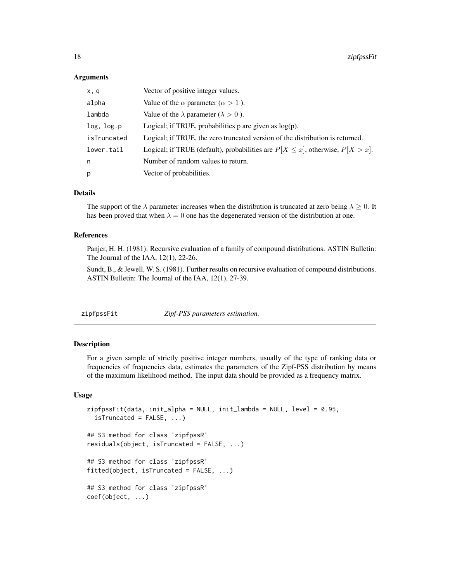#### Arguments

| x, q        | Vector of positive integer values.                                                   |
|-------------|--------------------------------------------------------------------------------------|
| alpha       | Value of the $\alpha$ parameter ( $\alpha > 1$ ).                                    |
| lambda      | Value of the $\lambda$ parameter ( $\lambda > 0$ ).                                  |
| log, log.p  | Logical; if TRUE, probabilities $p$ are given as $log(p)$ .                          |
| isTruncated | Logical; if TRUE, the zero truncated version of the distribution is returned.        |
| lower.tail  | Logical; if TRUE (default), probabilities are $P[X \le x]$ , otherwise, $P[X > x]$ . |
| n           | Number of random values to return.                                                   |
| p           | Vector of probabilities.                                                             |
|             |                                                                                      |

## Details

The support of the  $\lambda$  parameter increases when the distribution is truncated at zero being  $\lambda > 0$ . It has been proved that when  $\lambda = 0$  one has the degenerated version of the distribution at one.

#### References

Panjer, H. H. (1981). Recursive evaluation of a family of compound distributions. ASTIN Bulletin: The Journal of the IAA, 12(1), 22-26.

Sundt, B., & Jewell, W. S. (1981). Further results on recursive evaluation of compound distributions. ASTIN Bulletin: The Journal of the IAA, 12(1), 27-39.

zipfpssFit *Zipf-PSS parameters estimation.*

#### Description

For a given sample of strictly positive integer numbers, usually of the type of ranking data or frequencies of frequencies data, estimates the parameters of the Zipf-PSS distribution by means of the maximum likelihood method. The input data should be provided as a frequency matrix.

```
zipfpssFit(data, init_alpha = NULL, init_lambda = NULL, level = 0.95,
  isTruncated = FALSE, ...)
## S3 method for class 'zipfpssR'
residuals(object, isTruncated = FALSE, ...)
## S3 method for class 'zipfpssR'
fitted(object, isTruncated = FALSE, ...)
## S3 method for class 'zipfpssR'
coef(object, ...)
```
<span id="page-17-0"></span>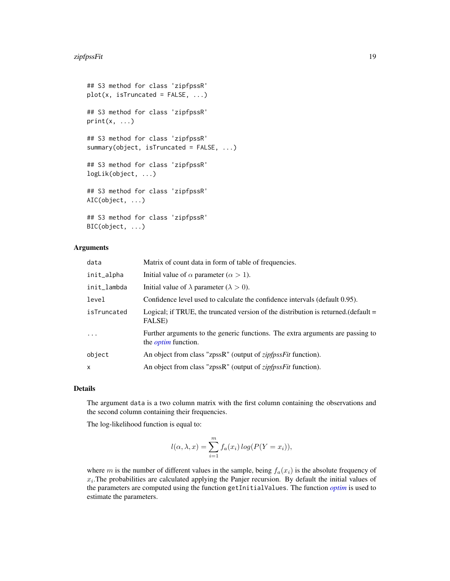```
## S3 method for class 'zipfpssR'
plot(x, isTruncated = FALSE, ...)## S3 method for class 'zipfpssR'
print(x, \ldots)## S3 method for class 'zipfpssR'
summary(object, isTruncated = FALSE, ...)
## S3 method for class 'zipfpssR'
logLik(object, ...)
## S3 method for class 'zipfpssR'
AIC(object, ...)
## S3 method for class 'zipfpssR'
BIC(object, ...)
```
#### Arguments

| data        | Matrix of count data in form of table of frequencies.                                                        |
|-------------|--------------------------------------------------------------------------------------------------------------|
| init_alpha  | Initial value of $\alpha$ parameter ( $\alpha > 1$ ).                                                        |
| init_lambda | Initial value of $\lambda$ parameter ( $\lambda > 0$ ).                                                      |
| level       | Confidence level used to calculate the confidence intervals (default 0.95).                                  |
| isTruncated | Logical; if TRUE, the truncated version of the distribution is returned. (default $=$<br>FALSE)              |
| $\cdots$    | Further arguments to the generic functions. The extra arguments are passing to<br>the <i>optim</i> function. |
| object      | An object from class "zpssR" (output of <i>zipfpssFit</i> function).                                         |
| x           | An object from class "zpssR" (output of <i>zipfpssFit</i> function).                                         |

#### Details

The argument data is a two column matrix with the first column containing the observations and the second column containing their frequencies.

The log-likelihood function is equal to:

$$
l(\alpha, \lambda, x) = \sum_{i=1}^{m} f_a(x_i) \log(P(Y = x_i)),
$$

where m is the number of different values in the sample, being  $f_a(x_i)$  is the absolute frequency of  $x_i$ . The probabilities are calculated applying the Panjer recursion. By default the initial values of the parameters are computed using the function getInitialValues. The function *[optim](#page-0-0)* is used to estimate the parameters.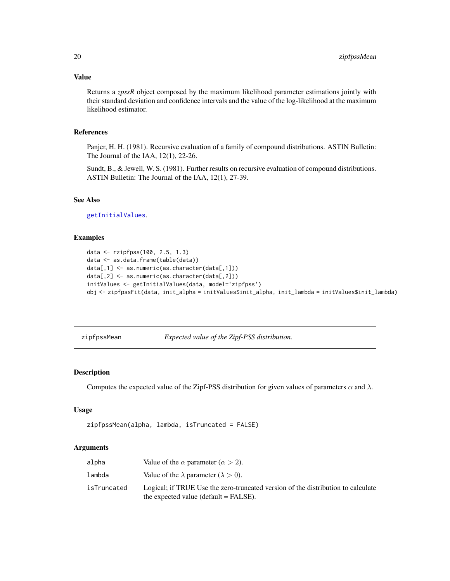#### <span id="page-19-0"></span>Value

Returns a *zpssR* object composed by the maximum likelihood parameter estimations jointly with their standard deviation and confidence intervals and the value of the log-likelihood at the maximum likelihood estimator.

## References

Panjer, H. H. (1981). Recursive evaluation of a family of compound distributions. ASTIN Bulletin: The Journal of the IAA, 12(1), 22-26.

Sundt, B., & Jewell, W. S. (1981). Further results on recursive evaluation of compound distributions. ASTIN Bulletin: The Journal of the IAA, 12(1), 27-39.

## See Also

[getInitialValues](#page-1-1).

## Examples

```
data <- rzipfpss(100, 2.5, 1.3)
data <- as.data.frame(table(data))
data[,1] <- as.numeric(as.character(data[,1]))
data[,2] <- as.numeric(as.character(data[,2]))
initValues <- getInitialValues(data, model='zipfpss')
obj <- zipfpssFit(data, init_alpha = initValues$init_alpha, init_lambda = initValues$init_lambda)
```
zipfpssMean *Expected value of the Zipf-PSS distribution.*

## Description

Computes the expected value of the Zipf-PSS distribution for given values of parameters  $\alpha$  and  $\lambda$ .

#### Usage

```
zipfpssMean(alpha, lambda, isTruncated = FALSE)
```
## Arguments

| alpha       | Value of the $\alpha$ parameter ( $\alpha > 2$ ).                                                                           |
|-------------|-----------------------------------------------------------------------------------------------------------------------------|
| lambda      | Value of the $\lambda$ parameter ( $\lambda > 0$ ).                                                                         |
| isTruncated | Logical; if TRUE Use the zero-truncated version of the distribution to calculate<br>the expected value (default $=$ FALSE). |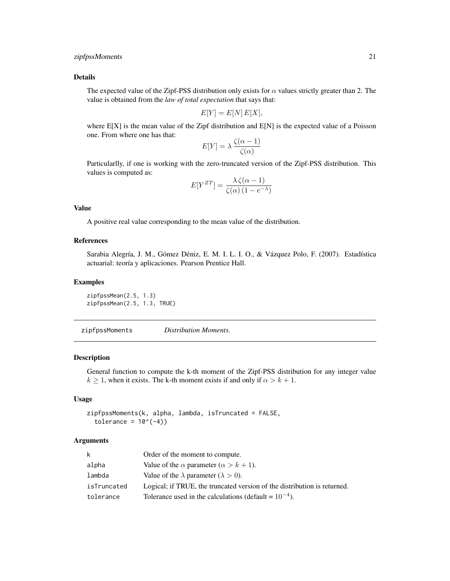## <span id="page-20-0"></span>zipfpssMoments 21

#### Details

The expected value of the Zipf-PSS distribution only exists for  $\alpha$  values strictly greater than 2. The value is obtained from the *law of total expectation* that says that:

$$
E[Y] = E[N]E[X],
$$

where E[X] is the mean value of the Zipf distribution and E[N] is the expected value of a Poisson one. From where one has that:

$$
E[Y] = \lambda \frac{\zeta(\alpha - 1)}{\zeta(\alpha)}
$$

Particularlly, if one is working with the zero-truncated version of the Zipf-PSS distribution. This values is computed as:

$$
E[Y^{ZT}] = \frac{\lambda \zeta(\alpha - 1)}{\zeta(\alpha) (1 - e^{-\lambda})}
$$

## Value

A positive real value corresponding to the mean value of the distribution.

#### References

Sarabia Alegría, J. M., Gómez Déniz, E. M. I. L. I. O., & Vázquez Polo, F. (2007). Estadística actuarial: teoría y aplicaciones. Pearson Prentice Hall.

#### Examples

zipfpssMean(2.5, 1.3) zipfpssMean(2.5, 1.3, TRUE)

zipfpssMoments *Distribution Moments.*

#### Description

General function to compute the k-th moment of the Zipf-PSS distribution for any integer value  $k \geq 1$ , when it exists. The k-th moment exists if and only if  $\alpha > k + 1$ .

## Usage

zipfpssMoments(k, alpha, lambda, isTruncated = FALSE, tolerance =  $10^(-4)$ )

#### **Arguments**

| k           | Order of the moment to compute.                                          |
|-------------|--------------------------------------------------------------------------|
| alpha       | Value of the $\alpha$ parameter $(\alpha > k + 1)$ .                     |
| lambda      | Value of the $\lambda$ parameter ( $\lambda > 0$ ).                      |
| isTruncated | Logical; if TRUE, the truncated version of the distribution is returned. |
| tolerance   | Tolerance used in the calculations (default = $10^{-4}$ ).               |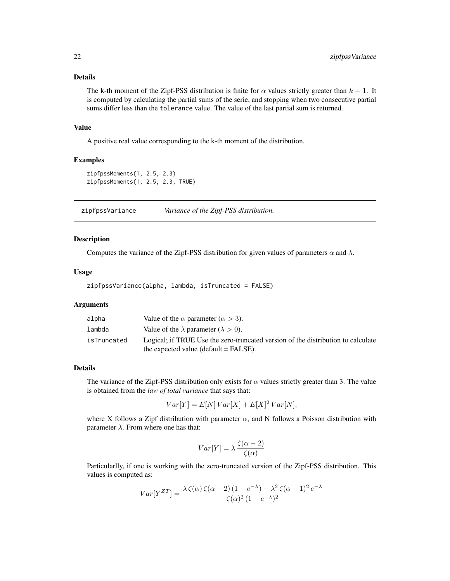## <span id="page-21-0"></span>Details

The k-th moment of the Zipf-PSS distribution is finite for  $\alpha$  values strictly greater than  $k + 1$ . It is computed by calculating the partial sums of the serie, and stopping when two consecutive partial sums differ less than the tolerance value. The value of the last partial sum is returned.

#### Value

A positive real value corresponding to the k-th moment of the distribution.

## Examples

```
zipfpssMoments(1, 2.5, 2.3)
zipfpssMoments(1, 2.5, 2.3, TRUE)
```
zipfpssVariance *Variance of the Zipf-PSS distribution.*

## Description

Computes the variance of the Zipf-PSS distribution for given values of parameters  $\alpha$  and  $\lambda$ .

#### Usage

```
zipfpssVariance(alpha, lambda, isTruncated = FALSE)
```
#### Arguments

| alpha       | Value of the $\alpha$ parameter ( $\alpha > 3$ ).                                                                           |
|-------------|-----------------------------------------------------------------------------------------------------------------------------|
| lambda      | Value of the $\lambda$ parameter ( $\lambda > 0$ ).                                                                         |
| isTruncated | Logical; if TRUE Use the zero-truncated version of the distribution to calculate<br>the expected value (default $=$ FALSE). |

#### Details

The variance of the Zipf-PSS distribution only exists for  $\alpha$  values strictly greater than 3. The value is obtained from the *law of total variance* that says that:

$$
Var[Y] = E[N] Var[X] + E[X]^2 Var[N],
$$

where X follows a Zipf distribution with parameter  $\alpha$ , and N follows a Poisson distribution with parameter  $\lambda$ . From where one has that:

$$
Var[Y] = \lambda \frac{\zeta(\alpha - 2)}{\zeta(\alpha)}
$$

Particularlly, if one is working with the zero-truncated version of the Zipf-PSS distribution. This values is computed as:

$$
Var[Y^{ZT}] = \frac{\lambda \zeta(\alpha) \zeta(\alpha - 2) (1 - e^{-\lambda}) - \lambda^2 \zeta(\alpha - 1)^2 e^{-\lambda}}{\zeta(\alpha)^2 (1 - e^{-\lambda})^2}
$$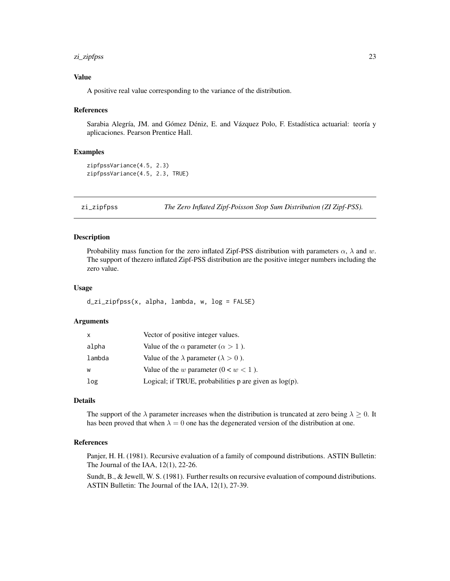#### <span id="page-22-0"></span>zi\_zipfpss 23

## Value

A positive real value corresponding to the variance of the distribution.

#### References

Sarabia Alegría, JM. and Gómez Déniz, E. and Vázquez Polo, F. Estadística actuarial: teoría y aplicaciones. Pearson Prentice Hall.

#### Examples

```
zipfpssVariance(4.5, 2.3)
zipfpssVariance(4.5, 2.3, TRUE)
```
zi\_zipfpss *The Zero Inflated Zipf-Poisson Stop Sum Distribution (ZI Zipf-PSS).*

## Description

Probability mass function for the zero inflated Zipf-PSS distribution with parameters  $\alpha$ ,  $\lambda$  and w. The support of thezero inflated Zipf-PSS distribution are the positive integer numbers including the zero value.

#### Usage

d\_zi\_zipfpss(x, alpha, lambda, w, log = FALSE)

#### Arguments

| X      | Vector of positive integer values.                          |
|--------|-------------------------------------------------------------|
| alpha  | Value of the $\alpha$ parameter ( $\alpha > 1$ ).           |
| lambda | Value of the $\lambda$ parameter ( $\lambda > 0$ ).         |
| W      | Value of the w parameter $(0 < w < 1)$ .                    |
| log    | Logical; if TRUE, probabilities $p$ are given as $log(p)$ . |

#### Details

The support of the  $\lambda$  parameter increases when the distribution is truncated at zero being  $\lambda \geq 0$ . It has been proved that when  $\lambda = 0$  one has the degenerated version of the distribution at one.

## References

Panjer, H. H. (1981). Recursive evaluation of a family of compound distributions. ASTIN Bulletin: The Journal of the IAA, 12(1), 22-26.

Sundt, B., & Jewell, W. S. (1981). Further results on recursive evaluation of compound distributions. ASTIN Bulletin: The Journal of the IAA, 12(1), 27-39.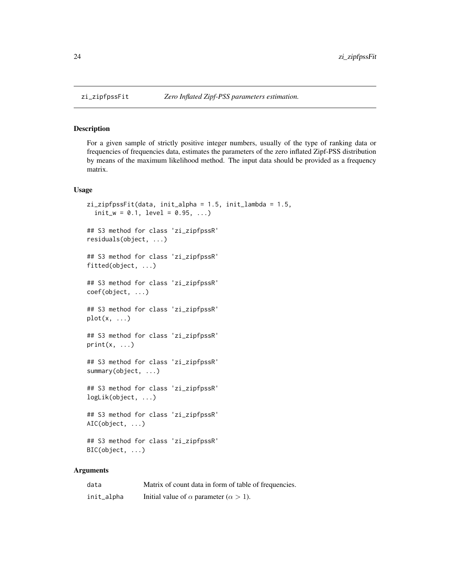## Description

For a given sample of strictly positive integer numbers, usually of the type of ranking data or frequencies of frequencies data, estimates the parameters of the zero inflated Zipf-PSS distribution by means of the maximum likelihood method. The input data should be provided as a frequency matrix.

## Usage

```
zi_zipfpssFit(data, init_alpha = 1.5, init_lambda = 1.5,
  init_w = 0.1, level = 0.95, ...)
## S3 method for class 'zi_zipfpssR'
residuals(object, ...)
## S3 method for class 'zi_zipfpssR'
fitted(object, ...)
## S3 method for class 'zi_zipfpssR'
coef(object, ...)
## S3 method for class 'zi_zipfpssR'
plot(x, \ldots)## S3 method for class 'zi_zipfpssR'
print(x, \ldots)## S3 method for class 'zi_zipfpssR'
summary(object, ...)
## S3 method for class 'zi_zipfpssR'
logLik(object, ...)
## S3 method for class 'zi_zipfpssR'
AIC(object, ...)
## S3 method for class 'zi_zipfpssR'
BIC(object, ...)
```
## Arguments

| data       | Matrix of count data in form of table of frequencies. |
|------------|-------------------------------------------------------|
| init_alpha | Initial value of $\alpha$ parameter ( $\alpha > 1$ ). |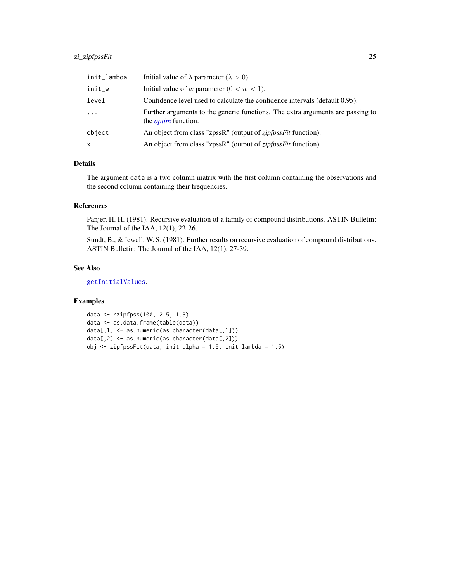## <span id="page-24-0"></span>zi\_zipfpssFit 25

| init_lambda | Initial value of $\lambda$ parameter ( $\lambda > 0$ ).                                                      |
|-------------|--------------------------------------------------------------------------------------------------------------|
| init_w      | Initial value of w parameter $(0 < w < 1)$ .                                                                 |
| level       | Confidence level used to calculate the confidence intervals (default 0.95).                                  |
| $\cdots$    | Further arguments to the generic functions. The extra arguments are passing to<br>the <i>optim</i> function. |
| object      | An object from class "zpssR" (output of <i>zipfpssFit</i> function).                                         |
| X.          | An object from class "zpssR" (output of <i>zipfpssFit</i> function).                                         |

## Details

The argument data is a two column matrix with the first column containing the observations and the second column containing their frequencies.

## References

Panjer, H. H. (1981). Recursive evaluation of a family of compound distributions. ASTIN Bulletin: The Journal of the IAA, 12(1), 22-26.

Sundt, B., & Jewell, W. S. (1981). Further results on recursive evaluation of compound distributions. ASTIN Bulletin: The Journal of the IAA, 12(1), 27-39.

## See Also

[getInitialValues](#page-1-1).

## Examples

```
data <- rzipfpss(100, 2.5, 1.3)
data <- as.data.frame(table(data))
data[,1] <- as.numeric(as.character(data[,1]))
data[,2] <- as.numeric(as.character(data[,2]))
obj <- zipfpssFit(data, init_alpha = 1.5, init_lambda = 1.5)
```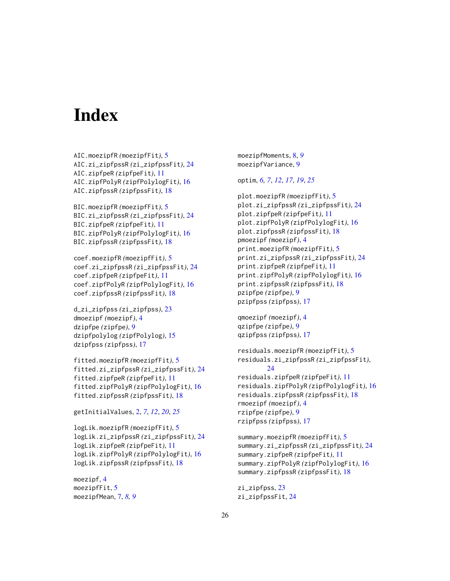# <span id="page-25-0"></span>**Index**

```
AIC.moezipfR (moezipfFit), 5
AIC.zi_zipfpssR (zi_zipfpssFit), 24
AIC.zipfpeR (zipfpeFit), 11
AIC.zipfPolyR (zipfPolylogFit), 16
AIC.zipfpssR (zipfpssFit), 18
```

```
BIC.moezipfR (moezipfFit), 5
BIC.zi_zipfpssR (zi_zipfpssFit), 24
BIC.zipfpeR (zipfpeFit), 11
BIC.zipfPolyR (zipfPolylogFit), 16
BIC.zipfpssR (zipfpssFit), 18
```

```
coef.moezipfR (moezipfFit), 5
coef.zi_zipfpssR (zi_zipfpssFit), 24
coef.zipfpeR (zipfpeFit), 11
coef.zipfPolyR (zipfPolylogFit), 16
coef.zipfpssR (zipfpssFit), 18
```

```
d_zi_zipfpss (zi_zipfpss), 23
dmoezipf (moezipf), 4
dzipfpe (zipfpe), 9
dzipfpolylog (zipfPolylog), 15
dzipfpss (zipfpss), 17
```

```
fitted.moezipfR (moezipfFit), 5
fitted.zi_zipfpssR (zi_zipfpssFit), 24
fitted.zipfpeR (zipfpeFit), 11
fitted.zipfPolyR (zipfPolylogFit), 16
fitted.zipfpssR (zipfpssFit), 18
```

```
getInitialValues, 2, 7, 12, 20, 25
```

```
logLik.moezipfR (moezipfFit), 5
logLik.zi_zipfpssR (zi_zipfpssFit), 24
logLik.zipfpeR (zipfpeFit), 11
logLik.zipfPolyR (zipfPolylogFit), 16
logLik.zipfpssR (zipfpssFit), 18
```
moezipf, [4](#page-3-0) moezipfFit, [5](#page-4-0) moezipfMean, [7,](#page-6-0) *[8,](#page-7-0) [9](#page-8-0)* moezipfMoments, [8,](#page-7-0) *[9](#page-8-0)* moezipfVariance, [9](#page-8-0)

## optim, *[6,](#page-5-0) [7](#page-6-0)*, *[12](#page-11-0)*, *[17](#page-16-0)*, *[19](#page-18-0)*, *[25](#page-24-0)*

```
plot.moezipfR (moezipfFit), 5
plot.zi_zipfpssR (zi_zipfpssFit), 24
plot.zipfpeR (zipfpeFit), 11
plot.zipfPolyR (zipfPolylogFit), 16
plot.zipfpssR (zipfpssFit), 18
pmoezipf (moezipf), 4
print.moezipfR (moezipfFit), 5
print.zi_zipfpssR (zi_zipfpssFit), 24
print.zipfpeR (zipfpeFit), 11
print.zipfPolyR (zipfPolylogFit), 16
print.zipfpssR (zipfpssFit), 18
pzipfpe (zipfpe), 9
pzipfpss (zipfpss), 17
```

```
qmoezipf (moezipf), 4
qzipfpe (zipfpe), 9
qzipfpss (zipfpss), 17
```

```
residuals.moezipfR (moezipfFit), 5
residuals.zi_zipfpssR (zi_zipfpssFit),
        24
residuals.zipfpeR (zipfpeFit), 11
residuals.zipfPolyR (zipfPolylogFit), 16
residuals.zipfpssR (zipfpssFit), 18
rmoezipf (moezipf), 4
rzipfpe (zipfpe), 9
rzipfpss (zipfpss), 17
```

```
summary.moezipfR (moezipfFit), 5
summary.zi_zipfpssR (zi_zipfpssFit), 24
summary.zipfpeR (zipfpeFit), 11
summary.zipfPolyR (zipfPolylogFit), 16
summary.zipfpssR (zipfpssFit), 18
```

```
zi_zipfpss, 23
zi_zipfpssFit, 24
```